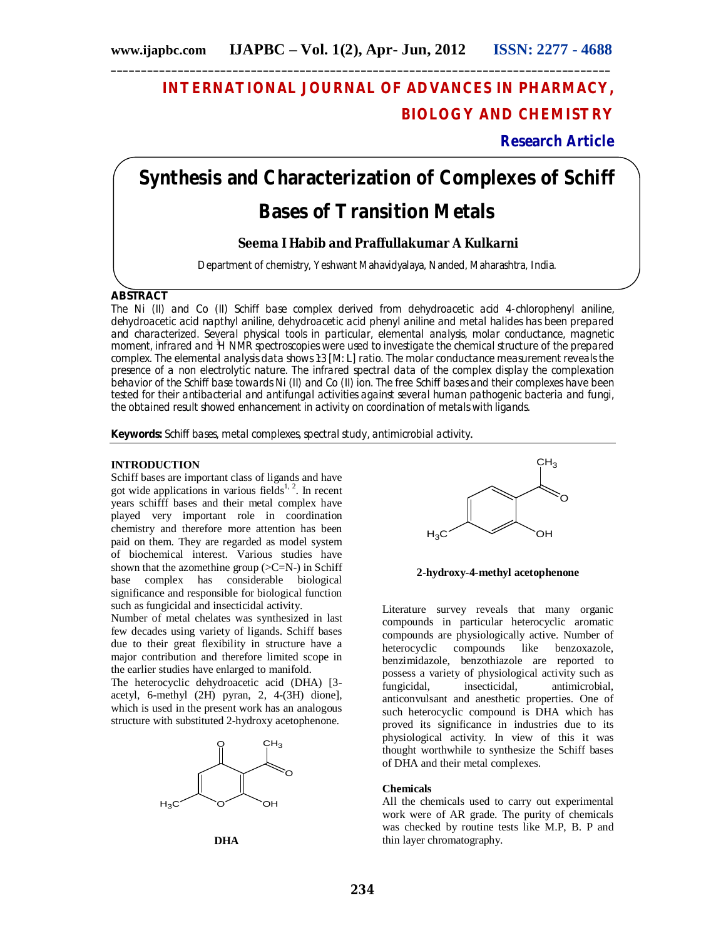# **INTERNATIONAL JOURNAL OF ADVANCES IN PHARMACY, BIOLOGY AND CHEMISTRY**

**Research Article**

# **Synthesis and Characterization of Complexes of Schiff Bases of Transition Metals**

# **Seema I Habib and Praffullakumar A Kulkarni**

Department of chemistry, Yeshwant Mahavidyalaya, Nanded, Maharashtra, India.

# **ABSTRACT**

The Ni (II) and Co (II) Schiff base complex derived from dehydroacetic acid 4-chlorophenyl aniline, dehydroacetic acid napthyl aniline, dehydroacetic acid phenyl aniline and metal halides has been prepared and characterized. Several physical tools in particular, elemental analysis, molar conductance, magnetic moment, infrared and <sup>1</sup>H NMR spectroscopies were used to investigate the chemical structure of the prepared complex. The elemental analysis data shows 1:3 [M: L] ratio. The molar conductance measurement reveals the presence of a non electrolytic nature. The infrared spectral data of the complex display the complexation behavior of the Schiff base towards Ni (II) and Co (II) ion. The free Schiff bases and their complexes have been tested for their antibacterial and antifungal activities against several human pathogenic bacteria and fungi, the obtained result showed enhancement in activity on coordination of metals with ligands.

**Keywords:** Schiff bases, metal complexes, spectral study, antimicrobial activity.

# **INTRODUCTION**

Schiff bases are important class of ligands and have got wide applications in various fields<sup>1, 2</sup>. In recent years schifff bases and their metal complex have played very important role in coordination chemistry and therefore more attention has been paid on them. They are regarded as model system of biochemical interest. Various studies have shown that the azomethine group  $(>=C=N-)$  in Schiff base complex has considerable biological significance and responsible for biological function such as fungicidal and insecticidal activity.

Number of metal chelates was synthesized in last few decades using variety of ligands. Schiff bases due to their great flexibility in structure have a major contribution and therefore limited scope in the earlier studies have enlarged to manifold.

The heterocyclic dehydroacetic acid (DHA) [3 acetyl, 6-methyl (2H) pyran, 2, 4-(3H) dione], which is used in the present work has an analogous structure with substituted 2-hydroxy acetophenone.







**2-hydroxy-4-methyl acetophenone**

Literature survey reveals that many organic compounds in particular heterocyclic aromatic compounds are physiologically active. Number of heterocyclic compounds like benzoxazole, benzimidazole, benzothiazole are reported to possess a variety of physiological activity such as fungicidal, insecticidal, antimicrobial, anticonvulsant and anesthetic properties. One of such heterocyclic compound is DHA which has proved its significance in industries due to its physiological activity. In view of this it was thought worthwhile to synthesize the Schiff bases of DHA and their metal complexes.

# **Chemicals**

All the chemicals used to carry out experimental work were of AR grade. The purity of chemicals was checked by routine tests like M.P, B. P and thin layer chromatography.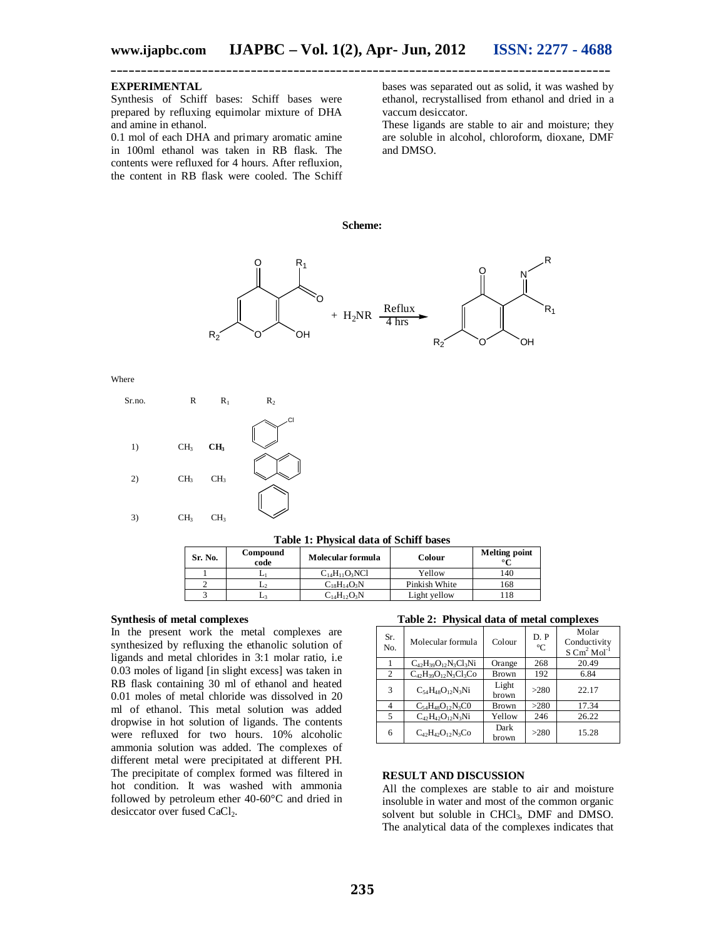# **EXPERIMENTAL**

Synthesis of Schiff bases: Schiff bases were prepared by refluxing equimolar mixture of DHA and amine in ethanol.

0.1 mol of each DHA and primary aromatic amine in 100ml ethanol was taken in RB flask. The contents were refluxed for 4 hours. After refluxion, the content in RB flask were cooled. The Schiff bases was separated out as solid, it was washed by ethanol, recrystallised from ethanol and dried in a vaccum desiccator.

These ligands are stable to air and moisture; they are soluble in alcohol, chloroform, dioxane, DMF and DMSO.

**Scheme:**



Where



**Table 1: Physical data of Schiff bases**

| - WHILE - I - II WAS WEDNED VAN DE LA WAARD NAMED VA |                  |                      |               |                      |  |  |  |
|------------------------------------------------------|------------------|----------------------|---------------|----------------------|--|--|--|
| Sr. No.                                              | Compound<br>code | Molecular formula    | Colour        | <b>Melting point</b> |  |  |  |
|                                                      |                  | $C_{14}H_{11}O_3NCl$ | Yellow        | .40                  |  |  |  |
|                                                      |                  | $C_{18}H_{14}O_3N$   | Pinkish White | 168                  |  |  |  |
|                                                      |                  | $C_{14}H_{12}O_3N$   | Light yellow  | 18                   |  |  |  |

#### **Synthesis of metal complexes**

In the present work the metal complexes are synthesized by refluxing the ethanolic solution of ligands and metal chlorides in 3:1 molar ratio, i.e 0.03 moles of ligand [in slight excess] was taken in RB flask containing 30 ml of ethanol and heated 0.01 moles of metal chloride was dissolved in 20 ml of ethanol. This metal solution was added dropwise in hot solution of ligands. The contents were refluxed for two hours. 10% alcoholic ammonia solution was added. The complexes of different metal were precipitated at different PH. The precipitate of complex formed was filtered in hot condition. It was washed with ammonia followed by petroleum ether 40-60°C and dried in desiccator over fused CaCl<sub>2</sub>.

**Table 2: Physical data of metal complexes**

| Sr.<br>No. | Molecular formula             | Colour         | D. P<br>$^{\circ}C$ | Molar<br>Conductivity<br>$S \text{ Cm}^2 \text{ Mol}^{-1}$ |
|------------|-------------------------------|----------------|---------------------|------------------------------------------------------------|
|            | $C_{42}H_{39}O_{12}N_3Cl_3Ni$ | Orange         | 268                 | 20.49                                                      |
| 2          | $C_{42}H_{39}O_{12}N_3Cl_3Co$ | Brown          | 192                 | 6.84                                                       |
| 3          | $C_{54}H_{48}O_{12}N_3Ni$     | Light<br>brown | >280                | 22.17                                                      |
| 4          | $C_{54}H_{48}O_{12}N_3CO$     | Brown          | >280                | 17.34                                                      |
| 5          | $C_{42}H_{42}O_{12}N_3Ni$     | Yellow         | 246                 | 26.22                                                      |
| 6          | $C_{42}H_{42}O_{12}N_3Co$     | Dark<br>brown  | >280                | 15.28                                                      |

# **RESULT AND DISCUSSION**

All the complexes are stable to air and moisture insoluble in water and most of the common organic solvent but soluble in CHCl<sub>3</sub>, DMF and DMSO. The analytical data of the complexes indicates that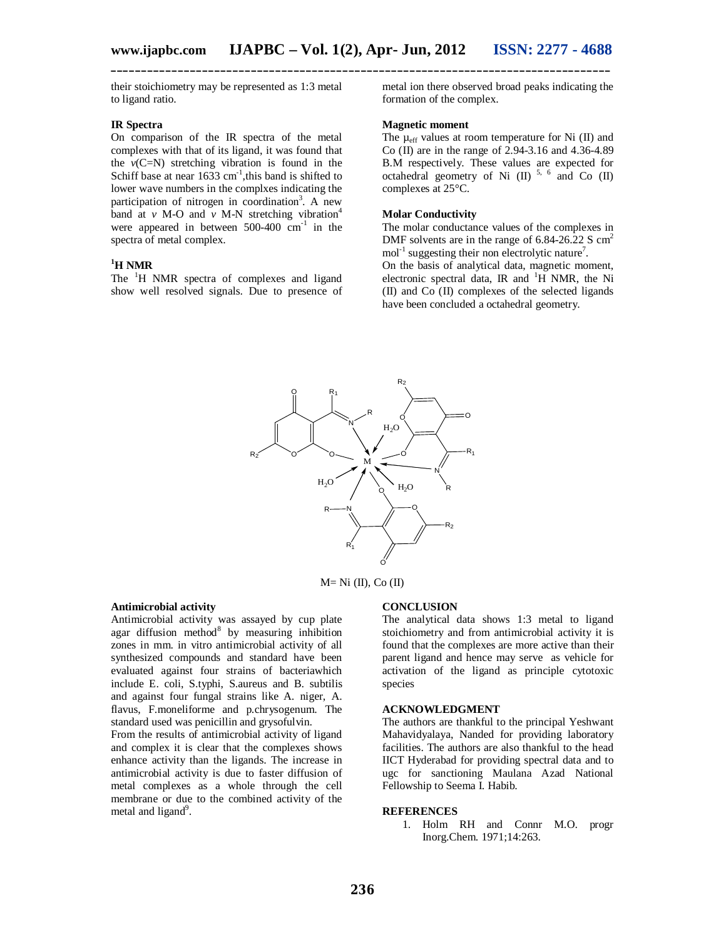their stoichiometry may be represented as 1:3 metal to ligand ratio.

## **IR Spectra**

On comparison of the IR spectra of the metal complexes with that of its ligand, it was found that the  $v(C=N)$  stretching vibration is found in the Schiff base at near  $1633 \text{ cm}^{-1}$ , this band is shifted to lower wave numbers in the complxes indicating the participation of nitrogen in coordination<sup>3</sup>. A new band at  $\nu$  M-O and  $\nu$  M-N stretching vibration<sup>4</sup> were appeared in between  $500-400$   $cm^{-1}$  in the spectra of metal complex.

#### **<sup>1</sup>H NMR**

The <sup>1</sup>H NMR spectra of complexes and ligand show well resolved signals. Due to presence of metal ion there observed broad peaks indicating the formation of the complex.

#### **Magnetic moment**

The  $\mu_{\text{eff}}$  values at room temperature for Ni (II) and Co (II) are in the range of 2.94-3.16 and 4.36-4.89 B.M respectively. These values are expected for octahedral geometry of Ni  $(II)$ <sup>5, 6</sup> and Co  $(II)$ complexes at 25°C.

## **Molar Conductivity**

The molar conductance values of the complexes in DMF solvents are in the range of  $6.84$ -26.22 S  $\text{cm}^2$  $mol<sup>-1</sup>$  suggesting their non electrolytic nature<sup>7</sup>. On the basis of analytical data, magnetic moment, electronic spectral data, IR and  ${}^{1}H$  NMR, the Ni (II) and Co (II) complexes of the selected ligands have been concluded a octahedral geometry.



 $M = Ni$  (II), Co (II)

#### **Antimicrobial activity**

Antimicrobial activity was assayed by cup plate agar diffusion method<sup>8</sup> by measuring inhibition zones in mm. in vitro antimicrobial activity of all synthesized compounds and standard have been evaluated against four strains of bacteriawhich include E. coli, S.typhi, S.aureus and B. subtilis and against four fungal strains like A. niger, A. flavus, F.moneliforme and p.chrysogenum. The standard used was penicillin and grysofulvin.

From the results of antimicrobial activity of ligand and complex it is clear that the complexes shows enhance activity than the ligands. The increase in antimicrobial activity is due to faster diffusion of metal complexes as a whole through the cell membrane or due to the combined activity of the metal and ligand<sup>9</sup>.

#### **CONCLUSION**

The analytical data shows 1:3 metal to ligand stoichiometry and from antimicrobial activity it is found that the complexes are more active than their parent ligand and hence may serve as vehicle for activation of the ligand as principle cytotoxic species

#### **ACKNOWLEDGMENT**

The authors are thankful to the principal Yeshwant Mahavidyalaya, Nanded for providing laboratory facilities. The authors are also thankful to the head IICT Hyderabad for providing spectral data and to ugc for sanctioning Maulana Azad National Fellowship to Seema I. Habib.

#### **REFERENCES**

1. Holm RH and Connr M.O. progr Inorg.Chem. 1971;14:263.